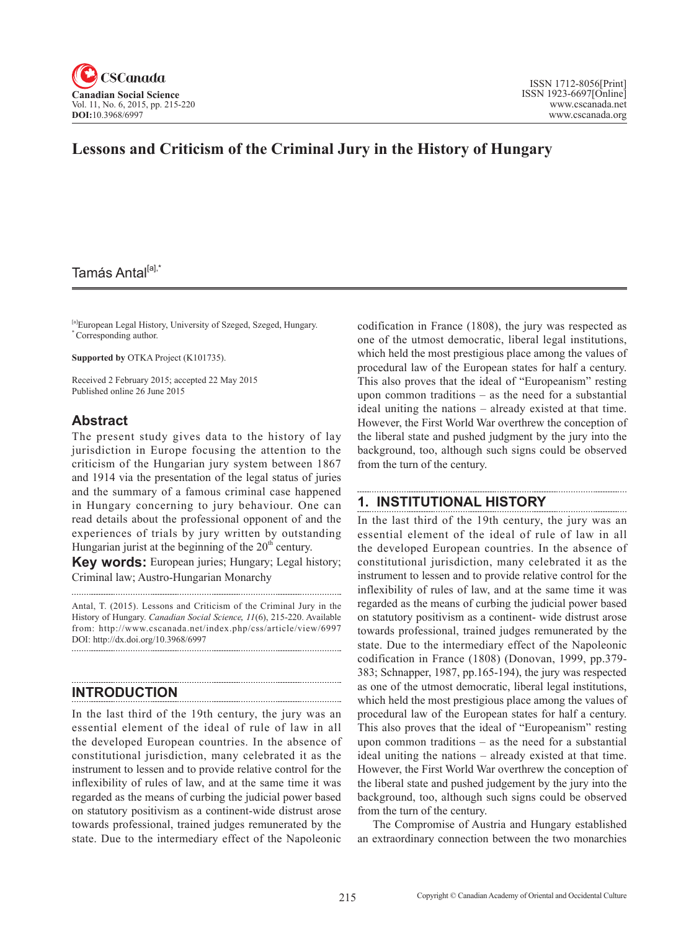

# **Lessons and Criticism of the Criminal Jury in the History of Hungary**

# Tamás Antal<sup>[a],\*</sup>

[a]European Legal History, University of Szeged, Szeged, Hungary. \* Corresponding author.

**Supported by** OTKA Project (K101735).

Received 2 February 2015; accepted 22 May 2015 Published online 26 June 2015

#### **Abstract**

The present study gives data to the history of lay jurisdiction in Europe focusing the attention to the criticism of the Hungarian jury system between 1867 and 1914 via the presentation of the legal status of juries and the summary of a famous criminal case happened in Hungary concerning to jury behaviour. One can read details about the professional opponent of and the experiences of trials by jury written by outstanding Hungarian jurist at the beginning of the  $20<sup>th</sup>$  century.

**Key words:** European juries; Hungary; Legal history; Criminal law; Austro-Hungarian Monarchy

Antal, T. (2015). Lessons and Criticism of the Criminal Jury in the History of Hungary. *Canadian Social Science*, <sup>11</sup>(6), 215-220. Available from: http://www.cscanada.net/index.php/css/article/view/6997 DOI: http://dx.doi.org/10.3968/6997 

## **INTRODUCTION**

In the last third of the 19th century, the jury was an essential element of the ideal of rule of law in all the developed European countries. In the absence of constitutional jurisdiction, many celebrated it as the instrument to lessen and to provide relative control for the inflexibility of rules of law, and at the same time it was regarded as the means of curbing the judicial power based on statutory positivism as a continent-wide distrust arose towards professional, trained judges remunerated by the state. Due to the intermediary effect of the Napoleonic

codification in France (1808), the jury was respected as one of the utmost democratic, liberal legal institutions, which held the most prestigious place among the values of procedural law of the European states for half a century. This also proves that the ideal of "Europeanism" resting upon common traditions – as the need for a substantial ideal uniting the nations – already existed at that time. However, the First World War overthrew the conception of the liberal state and pushed judgment by the jury into the background, too, although such signs could be observed from the turn of the century.

### **1. INSTITUTIONAL HISTORY**

In the last third of the 19th century, the jury was an essential element of the ideal of rule of law in all the developed European countries. In the absence of constitutional jurisdiction, many celebrated it as the instrument to lessen and to provide relative control for the inflexibility of rules of law, and at the same time it was regarded as the means of curbing the judicial power based on statutory positivism as a continent- wide distrust arose towards professional, trained judges remunerated by the state. Due to the intermediary effect of the Napoleonic codification in France (1808) (Donovan, 1999, pp.379- 383; Schnapper, 1987, pp.165-194), the jury was respected as one of the utmost democratic, liberal legal institutions, which held the most prestigious place among the values of procedural law of the European states for half a century. This also proves that the ideal of "Europeanism" resting upon common traditions – as the need for a substantial ideal uniting the nations – already existed at that time. However, the First World War overthrew the conception of the liberal state and pushed judgement by the jury into the background, too, although such signs could be observed from the turn of the century.

The Compromise of Austria and Hungary established an extraordinary connection between the two monarchies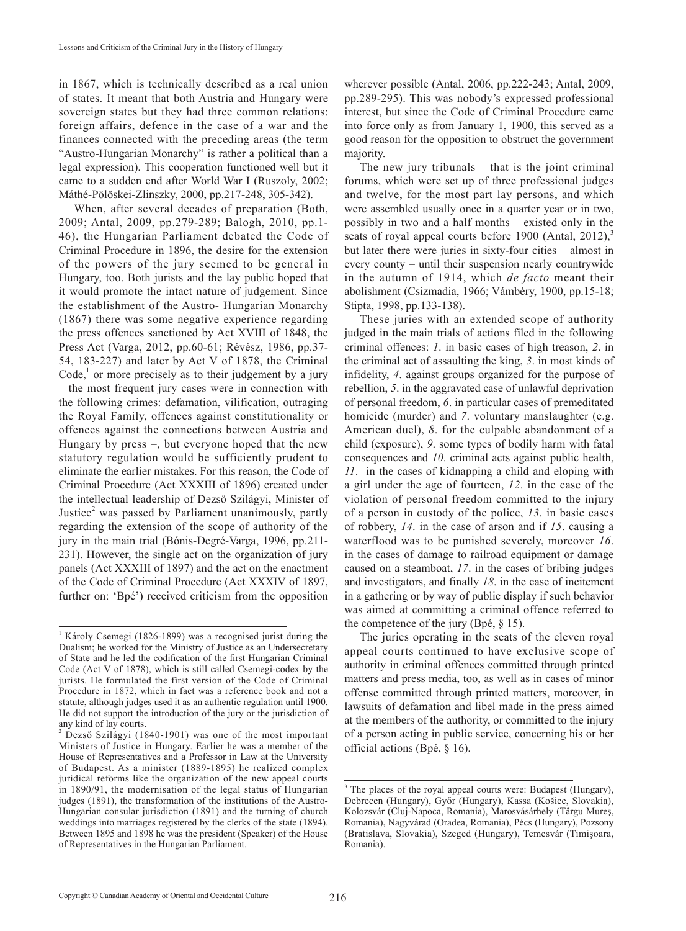in 1867, which is technically described as a real union of states. It meant that both Austria and Hungary were sovereign states but they had three common relations: foreign affairs, defence in the case of a war and the finances connected with the preceding areas (the term "Austro-Hungarian Monarchy" is rather a political than a legal expression). This cooperation functioned well but it came to a sudden end after World War I (Ruszoly, 2002; Máthé-Pölöskei-Zlinszky, 2000, pp.217-248, 305-342).

When, after several decades of preparation (Both, 2009; Antal, 2009, pp.279-289; Balogh, 2010, pp.1- 46), the Hungarian Parliament debated the Code of Criminal Procedure in 1896, the desire for the extension of the powers of the jury seemed to be general in Hungary, too. Both jurists and the lay public hoped that it would promote the intact nature of judgement. Since the establishment of the Austro- Hungarian Monarchy (1867) there was some negative experience regarding the press offences sanctioned by Act XVIII of 1848, the Press Act (Varga, 2012, pp.60-61; Révész, 1986, pp.37- 54, 183-227) and later by Act V of 1878, the Criminal Code, $<sup>1</sup>$  or more precisely as to their judgement by a jury</sup> – the most frequent jury cases were in connection with the following crimes: defamation, vilification, outraging the Royal Family, offences against constitutionality or offences against the connections between Austria and Hungary by press –, but everyone hoped that the new statutory regulation would be sufficiently prudent to eliminate the earlier mistakes. For this reason, the Code of Criminal Procedure (Act XXXIII of 1896) created under the intellectual leadership of Dezső Szilágyi, Minister of Justice<sup>2</sup> was passed by Parliament unanimously, partly regarding the extension of the scope of authority of the jury in the main trial (Bónis-Degré-Varga, 1996, pp.211- 231). However, the single act on the organization of jury panels (Act XXXIII of 1897) and the act on the enactment of the Code of Criminal Procedure (Act XXXIV of 1897, further on: 'Bpé') received criticism from the opposition

wherever possible (Antal, 2006, pp.222-243; Antal, 2009, pp.289-295). This was nobody's expressed professional interest, but since the Code of Criminal Procedure came into force only as from January 1, 1900, this served as a good reason for the opposition to obstruct the government majority.

The new jury tribunals – that is the joint criminal forums, which were set up of three professional judges and twelve, for the most part lay persons, and which were assembled usually once in a quarter year or in two, possibly in two and a half months – existed only in the seats of royal appeal courts before 1900 (Antal, 2012), $3$ but later there were juries in sixty-four cities – almost in every county – until their suspension nearly countrywide in the autumn of 1914, which *de facto* meant their abolishment (Csizmadia, 1966; Vámbéry, 1900, pp.15-18; Stipta, 1998, pp.133-138).

These juries with an extended scope of authority judged in the main trials of actions filed in the following criminal offences: *1*. in basic cases of high treason, *2*. in the criminal act of assaulting the king, *3*. in most kinds of infidelity, *4*. against groups organized for the purpose of rebellion, *5*. in the aggravated case of unlawful deprivation of personal freedom, *6*. in particular cases of premeditated homicide (murder) and 7. voluntary manslaughter (e.g. American duel), *8*. for the culpable abandonment of a child (exposure), *9*. some types of bodily harm with fatal consequences and *10*. criminal acts against public health, *11*. in the cases of kidnapping a child and eloping with a girl under the age of fourteen, *12*. in the case of the violation of personal freedom committed to the injury of a person in custody of the police, *13*. in basic cases of robbery, *14*. in the case of arson and if *15*. causing a waterflood was to be punished severely, moreover *16*. in the cases of damage to railroad equipment or damage caused on a steamboat, *17*. in the cases of bribing judges and investigators, and finally *18*. in the case of incitement in a gathering or by way of public display if such behavior was aimed at committing a criminal offence referred to the competence of the jury (Bpé, § 15).

The juries operating in the seats of the eleven royal appeal courts continued to have exclusive scope of authority in criminal offences committed through printed matters and press media, too, as well as in cases of minor offense committed through printed matters, moreover, in lawsuits of defamation and libel made in the press aimed at the members of the authority, or committed to the injury of a person acting in public service, concerning his or her official actions (Bpé, § 16).

<sup>&</sup>lt;sup>1</sup> Károly Csemegi (1826-1899) was a recognised jurist during the Dualism; he worked for the Ministry of Justice as an Undersecretary of State and he led the codification of the first Hungarian Criminal Code (Act V of 1878), which is still called Csemegi-codex by the jurists. He formulated the first version of the Code of Criminal Procedure in 1872, which in fact was a reference book and not a statute, although judges used it as an authentic regulation until 1900. He did not support the introduction of the jury or the jurisdiction of any kind of lay courts.

<sup>2</sup> Dezső Szilágyi (1840-1901) was one of the most important Ministers of Justice in Hungary. Earlier he was a member of the House of Representatives and a Professor in Law at the University of Budapest. As a minister (1889-1895) he realized complex juridical reforms like the organization of the new appeal courts in 1890/91, the modernisation of the legal status of Hungarian judges (1891), the transformation of the institutions of the Austro-Hungarian consular jurisdiction (1891) and the turning of church weddings into marriages registered by the clerks of the state (1894). Between 1895 and 1898 he was the president (Speaker) of the House of Representatives in the Hungarian Parliament.

<sup>3</sup> The places of the royal appeal courts were: Budapest (Hungary), Debrecen (Hungary), Győr (Hungary), Kassa (Košice, Slovakia), Kolozsvár (Cluj-Napoca, Romania), Marosvásárhely (Târgu Mureş, Romania), Nagyvárad (Oradea, Romania), Pécs (Hungary), Pozsony (Bratislava, Slovakia), Szeged (Hungary), Temesvár (Timişoara, Romania).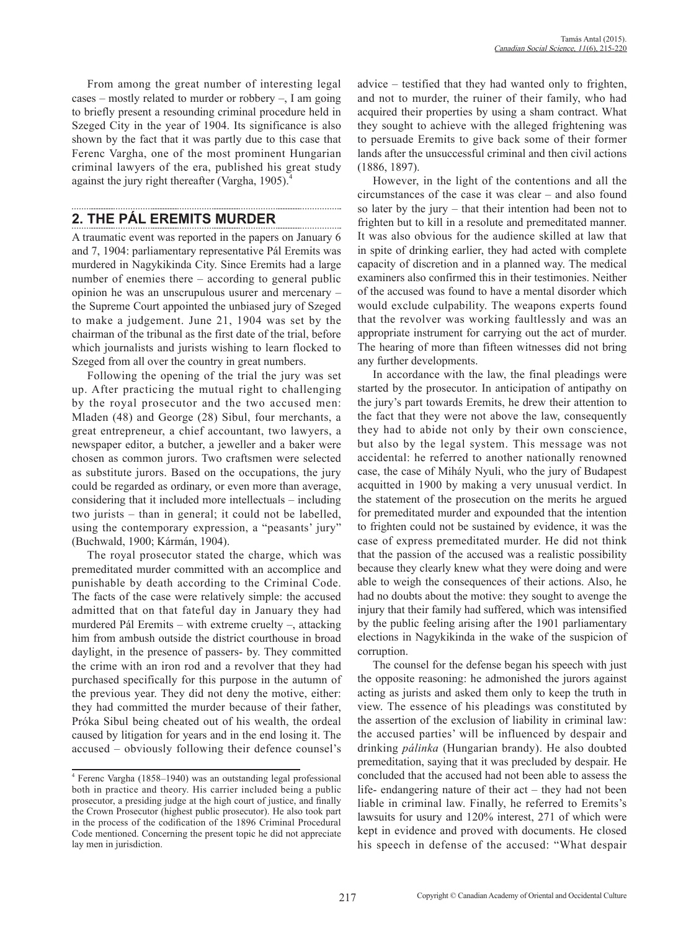From among the great number of interesting legal cases – mostly related to murder or robbery –, I am going to briefly present a resounding criminal procedure held in Szeged City in the year of 1904. Its significance is also shown by the fact that it was partly due to this case that Ferenc Vargha, one of the most prominent Hungarian criminal lawyers of the era, published his great study against the jury right thereafter (Vargha, 1905).<sup>4</sup>

### **2. THE PÁL EREMITS MURDER**

A traumatic event was reported in the papers on January 6 and 7, 1904: parliamentary representative Pál Eremits was murdered in Nagykikinda City. Since Eremits had a large number of enemies there – according to general public opinion he was an unscrupulous usurer and mercenary – the Supreme Court appointed the unbiased jury of Szeged to make a judgement. June 21, 1904 was set by the chairman of the tribunal as the first date of the trial, before which journalists and jurists wishing to learn flocked to Szeged from all over the country in great numbers.

Following the opening of the trial the jury was set up. After practicing the mutual right to challenging by the royal prosecutor and the two accused men: Mladen (48) and George (28) Sibul, four merchants, a great entrepreneur, a chief accountant, two lawyers, a newspaper editor, a butcher, a jeweller and a baker were chosen as common jurors. Two craftsmen were selected as substitute jurors. Based on the occupations, the jury could be regarded as ordinary, or even more than average, considering that it included more intellectuals – including two jurists – than in general; it could not be labelled, using the contemporary expression, a "peasants' jury" (Buchwald, 1900; Kármán, 1904).

The royal prosecutor stated the charge, which was premeditated murder committed with an accomplice and punishable by death according to the Criminal Code. The facts of the case were relatively simple: the accused admitted that on that fateful day in January they had murdered Pál Eremits – with extreme cruelty –, attacking him from ambush outside the district courthouse in broad daylight, in the presence of passers- by. They committed the crime with an iron rod and a revolver that they had purchased specifically for this purpose in the autumn of the previous year. They did not deny the motive, either: they had committed the murder because of their father, Próka Sibul being cheated out of his wealth, the ordeal caused by litigation for years and in the end losing it. The accused – obviously following their defence counsel's advice – testified that they had wanted only to frighten, and not to murder, the ruiner of their family, who had acquired their properties by using a sham contract. What they sought to achieve with the alleged frightening was to persuade Eremits to give back some of their former lands after the unsuccessful criminal and then civil actions (1886, 1897).

However, in the light of the contentions and all the circumstances of the case it was clear – and also found so later by the jury – that their intention had been not to frighten but to kill in a resolute and premeditated manner. It was also obvious for the audience skilled at law that in spite of drinking earlier, they had acted with complete capacity of discretion and in a planned way. The medical examiners also confirmed this in their testimonies. Neither of the accused was found to have a mental disorder which would exclude culpability. The weapons experts found that the revolver was working faultlessly and was an appropriate instrument for carrying out the act of murder. The hearing of more than fifteen witnesses did not bring any further developments.

In accordance with the law, the final pleadings were started by the prosecutor. In anticipation of antipathy on the jury's part towards Eremits, he drew their attention to the fact that they were not above the law, consequently they had to abide not only by their own conscience, but also by the legal system. This message was not accidental: he referred to another nationally renowned case, the case of Mihály Nyuli, who the jury of Budapest acquitted in 1900 by making a very unusual verdict. In the statement of the prosecution on the merits he argued for premeditated murder and expounded that the intention to frighten could not be sustained by evidence, it was the case of express premeditated murder. He did not think that the passion of the accused was a realistic possibility because they clearly knew what they were doing and were able to weigh the consequences of their actions. Also, he had no doubts about the motive: they sought to avenge the injury that their family had suffered, which was intensified by the public feeling arising after the 1901 parliamentary elections in Nagykikinda in the wake of the suspicion of corruption.

The counsel for the defense began his speech with just the opposite reasoning: he admonished the jurors against acting as jurists and asked them only to keep the truth in view. The essence of his pleadings was constituted by the assertion of the exclusion of liability in criminal law: the accused parties' will be influenced by despair and drinking *pálinka* (Hungarian brandy). He also doubted premeditation, saying that it was precluded by despair. He concluded that the accused had not been able to assess the life- endangering nature of their act – they had not been liable in criminal law. Finally, he referred to Eremits's lawsuits for usury and 120% interest, 271 of which were kept in evidence and proved with documents. He closed his speech in defense of the accused: "What despair

<sup>4</sup> Ferenc Vargha (1858–1940) was an outstanding legal professional both in practice and theory. His carrier included being a public prosecutor, a presiding judge at the high court of justice, and finally the Crown Prosecutor (highest public prosecutor). He also took part in the process of the codification of the 1896 Criminal Procedural Code mentioned. Concerning the present topic he did not appreciate lay men in jurisdiction.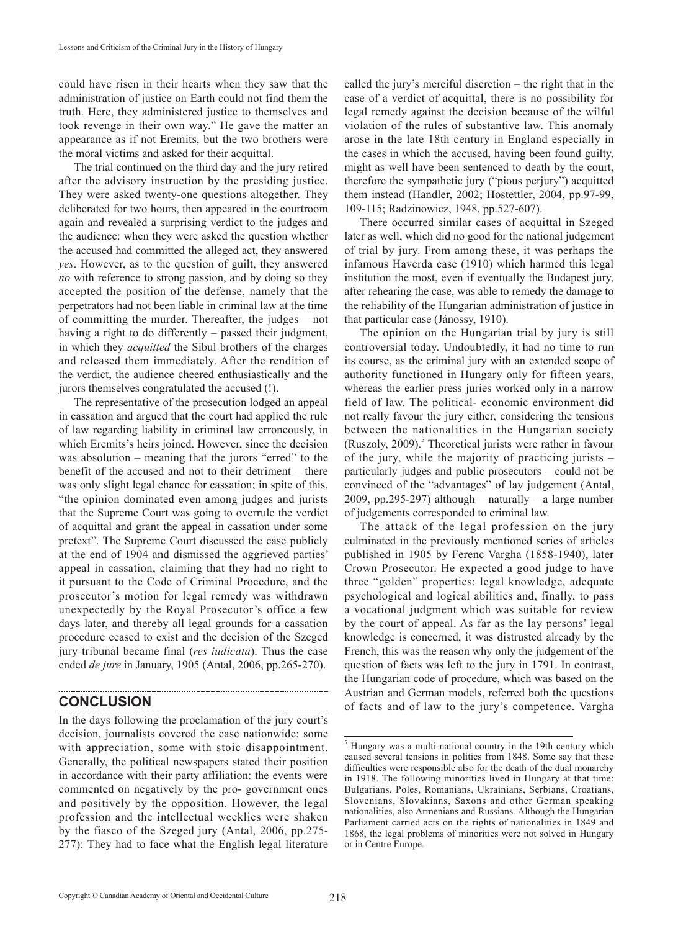could have risen in their hearts when they saw that the administration of justice on Earth could not find them the truth. Here, they administered justice to themselves and took revenge in their own way." He gave the matter an appearance as if not Eremits, but the two brothers were the moral victims and asked for their acquittal.

The trial continued on the third day and the jury retired after the advisory instruction by the presiding justice. They were asked twenty-one questions altogether. They deliberated for two hours, then appeared in the courtroom again and revealed a surprising verdict to the judges and the audience: when they were asked the question whether the accused had committed the alleged act, they answered *yes*. However, as to the question of guilt, they answered *no* with reference to strong passion, and by doing so they accepted the position of the defense, namely that the perpetrators had not been liable in criminal law at the time of committing the murder. Thereafter, the judges – not having a right to do differently – passed their judgment, in which they *acquitted* the Sibul brothers of the charges and released them immediately. After the rendition of the verdict, the audience cheered enthusiastically and the jurors themselves congratulated the accused (!).

The representative of the prosecution lodged an appeal in cassation and argued that the court had applied the rule of law regarding liability in criminal law erroneously, in which Eremits's heirs joined. However, since the decision was absolution – meaning that the jurors "erred" to the benefit of the accused and not to their detriment – there was only slight legal chance for cassation; in spite of this, "the opinion dominated even among judges and jurists that the Supreme Court was going to overrule the verdict of acquittal and grant the appeal in cassation under some pretext". The Supreme Court discussed the case publicly at the end of 1904 and dismissed the aggrieved parties' appeal in cassation, claiming that they had no right to it pursuant to the Code of Criminal Procedure, and the prosecutor's motion for legal remedy was withdrawn unexpectedly by the Royal Prosecutor's office a few days later, and thereby all legal grounds for a cassation procedure ceased to exist and the decision of the Szeged jury tribunal became final (*res iudicata*). Thus the case ended *de jure* in January, 1905 (Antal, 2006, pp.265-270).

### **CONCLUSION**

In the days following the proclamation of the jury court's decision, journalists covered the case nationwide; some with appreciation, some with stoic disappointment. Generally, the political newspapers stated their position in accordance with their party affiliation: the events were commented on negatively by the pro- government ones and positively by the opposition. However, the legal profession and the intellectual weeklies were shaken by the fiasco of the Szeged jury (Antal, 2006, pp.275- 277): They had to face what the English legal literature

called the jury's merciful discretion – the right that in the case of a verdict of acquittal, there is no possibility for legal remedy against the decision because of the wilful violation of the rules of substantive law. This anomaly arose in the late 18th century in England especially in the cases in which the accused, having been found guilty, might as well have been sentenced to death by the court, therefore the sympathetic jury ("pious perjury") acquitted them instead (Handler, 2002; Hostettler, 2004, pp.97-99, 109-115; Radzinowicz, 1948, pp.527-607).

There occurred similar cases of acquittal in Szeged later as well, which did no good for the national judgement of trial by jury. From among these, it was perhaps the infamous Haverda case (1910) which harmed this legal institution the most, even if eventually the Budapest jury, after rehearing the case, was able to remedy the damage to the reliability of the Hungarian administration of justice in that particular case (Jánossy, 1910).

The opinion on the Hungarian trial by jury is still controversial today. Undoubtedly, it had no time to run its course, as the criminal jury with an extended scope of authority functioned in Hungary only for fifteen years, whereas the earlier press juries worked only in a narrow field of law. The political- economic environment did not really favour the jury either, considering the tensions between the nationalities in the Hungarian society (Ruszoly, 2009). $5$  Theoretical jurists were rather in favour of the jury, while the majority of practicing jurists – particularly judges and public prosecutors – could not be convinced of the "advantages" of lay judgement (Antal, 2009, pp.295-297) although – naturally – a large number of judgements corresponded to criminal law.

The attack of the legal profession on the jury culminated in the previously mentioned series of articles published in 1905 by Ferenc Vargha (1858-1940), later Crown Prosecutor. He expected a good judge to have three "golden" properties: legal knowledge, adequate psychological and logical abilities and, finally, to pass a vocational judgment which was suitable for review by the court of appeal. As far as the lay persons' legal knowledge is concerned, it was distrusted already by the French, this was the reason why only the judgement of the question of facts was left to the jury in 1791. In contrast, the Hungarian code of procedure, which was based on the Austrian and German models, referred both the questions of facts and of law to the jury's competence. Vargha

<sup>&</sup>lt;sup>5</sup> Hungary was a multi-national country in the 19th century which caused several tensions in politics from 1848. Some say that these difficulties were responsible also for the death of the dual monarchy in 1918. The following minorities lived in Hungary at that time: Bulgarians, Poles, Romanians, Ukrainians, Serbians, Croatians, Slovenians, Slovakians, Saxons and other German speaking nationalities, also Armenians and Russians. Although the Hungarian Parliament carried acts on the rights of nationalities in 1849 and 1868, the legal problems of minorities were not solved in Hungary or in Centre Europe.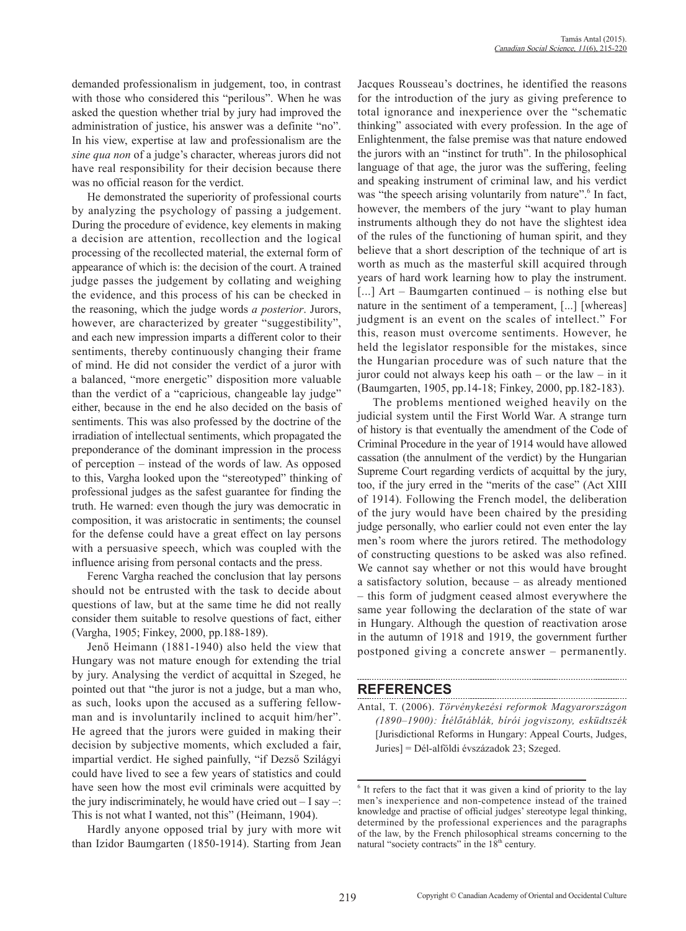demanded professionalism in judgement, too, in contrast with those who considered this "perilous". When he was asked the question whether trial by jury had improved the administration of justice, his answer was a definite "no". In his view, expertise at law and professionalism are the *sine qua non* of a judge's character, whereas jurors did not have real responsibility for their decision because there was no official reason for the verdict.

He demonstrated the superiority of professional courts by analyzing the psychology of passing a judgement. During the procedure of evidence, key elements in making a decision are attention, recollection and the logical processing of the recollected material, the external form of appearance of which is: the decision of the court. A trained judge passes the judgement by collating and weighing the evidence, and this process of his can be checked in the reasoning, which the judge words *a posterior*. Jurors, however, are characterized by greater "suggestibility", and each new impression imparts a different color to their sentiments, thereby continuously changing their frame of mind. He did not consider the verdict of a juror with a balanced, "more energetic" disposition more valuable than the verdict of a "capricious, changeable lay judge" either, because in the end he also decided on the basis of sentiments. This was also professed by the doctrine of the irradiation of intellectual sentiments, which propagated the preponderance of the dominant impression in the process of perception – instead of the words of law. As opposed to this, Vargha looked upon the "stereotyped" thinking of professional judges as the safest guarantee for finding the truth. He warned: even though the jury was democratic in composition, it was aristocratic in sentiments; the counsel for the defense could have a great effect on lay persons with a persuasive speech, which was coupled with the influence arising from personal contacts and the press.

Ferenc Vargha reached the conclusion that lay persons should not be entrusted with the task to decide about questions of law, but at the same time he did not really consider them suitable to resolve questions of fact, either (Vargha, 1905; Finkey, 2000, pp.188-189).

Jenő Heimann (1881-1940) also held the view that Hungary was not mature enough for extending the trial by jury. Analysing the verdict of acquittal in Szeged, he pointed out that "the juror is not a judge, but a man who, as such, looks upon the accused as a suffering fellowman and is involuntarily inclined to acquit him/her". He agreed that the jurors were guided in making their decision by subjective moments, which excluded a fair, impartial verdict. He sighed painfully, "if Dezső Szilágyi could have lived to see a few years of statistics and could have seen how the most evil criminals were acquitted by the jury indiscriminately, he would have cried out  $-1$  say  $-$ : This is not what I wanted, not this" (Heimann, 1904).

Hardly anyone opposed trial by jury with more wit than Izidor Baumgarten (1850-1914). Starting from Jean Jacques Rousseau's doctrines, he identified the reasons for the introduction of the jury as giving preference to total ignorance and inexperience over the "schematic thinking" associated with every profession. In the age of Enlightenment, the false premise was that nature endowed the jurors with an "instinct for truth". In the philosophical language of that age, the juror was the suffering, feeling and speaking instrument of criminal law, and his verdict was "the speech arising voluntarily from nature". <sup>6</sup> In fact, however, the members of the jury "want to play human instruments although they do not have the slightest idea of the rules of the functioning of human spirit, and they believe that a short description of the technique of art is worth as much as the masterful skill acquired through years of hard work learning how to play the instrument. [...] Art – Baumgarten continued – is nothing else but nature in the sentiment of a temperament, [...] [whereas] judgment is an event on the scales of intellect." For this, reason must overcome sentiments. However, he held the legislator responsible for the mistakes, since the Hungarian procedure was of such nature that the juror could not always keep his oath – or the law – in it (Baumgarten, 1905, pp.14-18; Finkey, 2000, pp.182-183).

The problems mentioned weighed heavily on the judicial system until the First World War. A strange turn of history is that eventually the amendment of the Code of Criminal Procedure in the year of 1914 would have allowed cassation (the annulment of the verdict) by the Hungarian Supreme Court regarding verdicts of acquittal by the jury, too, if the jury erred in the "merits of the case" (Act XIII of 1914). Following the French model, the deliberation of the jury would have been chaired by the presiding judge personally, who earlier could not even enter the lay men's room where the jurors retired. The methodology of constructing questions to be asked was also refined. We cannot say whether or not this would have brought a satisfactory solution, because – as already mentioned – this form of judgment ceased almost everywhere the same year following the declaration of the state of war in Hungary. Although the question of reactivation arose in the autumn of 1918 and 1919, the government further postponed giving a concrete answer – permanently.

#### **REFERENCES**

Antal, T. (2006). *Törvénykezési reformok Magyarországon (1890–1900): Ítélőtáblák, bírói jogviszony, esküdtszék* [Jurisdictional Reforms in Hungary: Appeal Courts, Judges, Juries] = Dél-alföldi évszázadok 23; Szeged.

<sup>&</sup>lt;sup>6</sup> It refers to the fact that it was given a kind of priority to the lay men's inexperience and non-competence instead of the trained knowledge and practise of official judges' stereotype legal thinking, determined by the professional experiences and the paragraphs of the law, by the French philosophical streams concerning to the natural "society contracts" in the  $18<sup>th</sup>$  century.